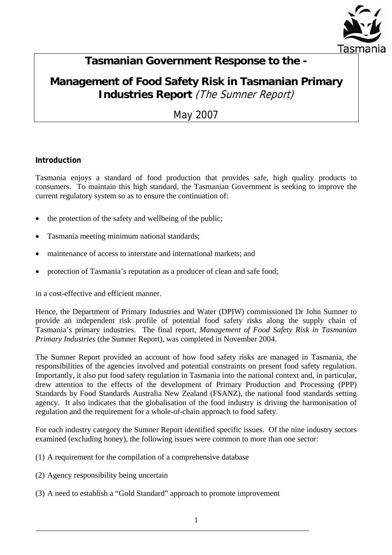

# **Tasmanian Government Response to the -**

# **Management of Food Safety Risk in Tasmanian Primary Industries Report** (The Sumner Report)

May 2007

## **Introduction**

Tasmania enjoys a standard of food production that provides safe, high quality products to consumers. To maintain this high standard, the Tasmanian Government is seeking to improve the current regulatory system so as to ensure the continuation of:

- the protection of the safety and wellbeing of the public;
- Tasmania meeting minimum national standards;
- maintenance of access to interstate and international markets; and
- protection of Tasmania's reputation as a producer of clean and safe food;

in a cost-effective and efficient manner.

Hence, the Department of Primary Industries and Water (DPIW) commissioned Dr John Sumner to provide an independent risk profile of potential food safety risks along the supply chain of Tasmania's primary industries. The final report, *Management of Food Safety Risk in Tasmanian Primary Industries* (the Sumner Report), was completed in November 2004.

The Sumner Report provided an account of how food safety risks are managed in Tasmania, the responsibilities of the agencies involved and potential constraints on present food safety regulation. Importantly, it also put food safety regulation in Tasmania into the national context and, in particular, drew attention to the effects of the development of Primary Production and Processing (PPP) Standards by Food Standards Australia New Zealand (FSANZ), the national food standards setting agency. It also indicates that the globalisation of the food industry is driving the harmonisation of regulation and the requirement for a whole-of-chain approach to food safety.

For each industry category the Sumner Report identified specific issues. Of the nine industry sectors examined (excluding honey), the following issues were common to more than one sector:

- (1) A requirement for the compilation of a comprehensive database
- (2) Agency responsibility being uncertain

(3) A need to establish a "Gold Standard" approach to promote improvement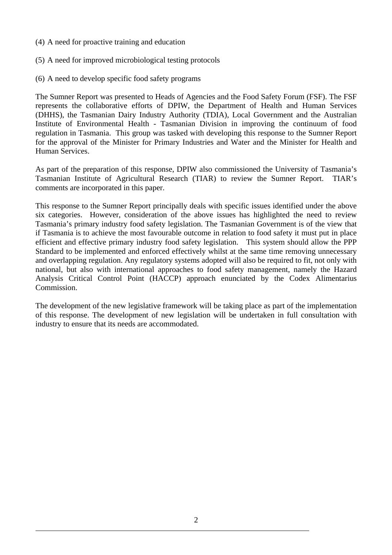- (4) A need for proactive training and education
- (5) A need for improved microbiological testing protocols
- (6) A need to develop specific food safety programs

The Sumner Report was presented to Heads of Agencies and the Food Safety Forum (FSF). The FSF represents the collaborative efforts of DPIW, the Department of Health and Human Services (DHHS), the Tasmanian Dairy Industry Authority (TDIA), Local Government and the Australian Institute of Environmental Health - Tasmanian Division in improving the continuum of food regulation in Tasmania. This group was tasked with developing this response to the Sumner Report for the approval of the Minister for Primary Industries and Water and the Minister for Health and Human Services.

As part of the preparation of this response, DPIW also commissioned the University of Tasmania's Tasmanian Institute of Agricultural Research (TIAR) to review the Sumner Report. TIAR's comments are incorporated in this paper.

This response to the Sumner Report principally deals with specific issues identified under the above six categories. However, consideration of the above issues has highlighted the need to review Tasmania's primary industry food safety legislation. The Tasmanian Government is of the view that if Tasmania is to achieve the most favourable outcome in relation to food safety it must put in place efficient and effective primary industry food safety legislation. This system should allow the PPP Standard to be implemented and enforced effectively whilst at the same time removing unnecessary and overlapping regulation. Any regulatory systems adopted will also be required to fit, not only with national, but also with international approaches to food safety management, namely the Hazard Analysis Critical Control Point (HACCP) approach enunciated by the Codex Alimentarius Commission.

The development of the new legislative framework will be taking place as part of the implementation of this response. The development of new legislation will be undertaken in full consultation with industry to ensure that its needs are accommodated.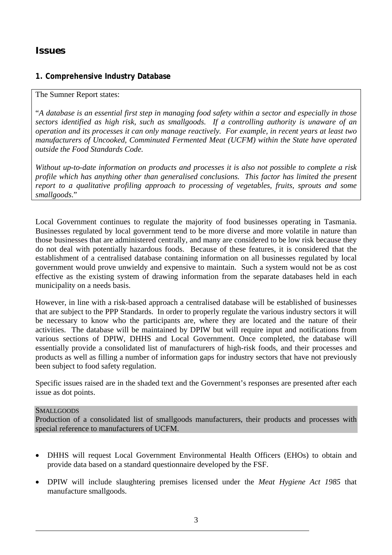## *Issues*

## **1. Comprehensive Industry Database**

#### The Sumner Report states:

"*A database is an essential first step in managing food safety within a sector and especially in those sectors identified as high risk, such as smallgoods. If a controlling authority is unaware of an operation and its processes it can only manage reactively. For example, in recent years at least two manufacturers of Uncooked, Comminuted Fermented Meat (UCFM) within the State have operated outside the Food Standards Code.*

*Without up-to-date information on products and processes it is also not possible to complete a risk profile which has anything other than generalised conclusions. This factor has limited the present report to a qualitative profiling approach to processing of vegetables, fruits, sprouts and some smallgoods*."

Local Government continues to regulate the majority of food businesses operating in Tasmania. Businesses regulated by local government tend to be more diverse and more volatile in nature than those businesses that are administered centrally, and many are considered to be low risk because they do not deal with potentially hazardous foods. Because of these features, it is considered that the establishment of a centralised database containing information on all businesses regulated by local government would prove unwieldy and expensive to maintain. Such a system would not be as cost effective as the existing system of drawing information from the separate databases held in each municipality on a needs basis.

However, in line with a risk-based approach a centralised database will be established of businesses that are subject to the PPP Standards. In order to properly regulate the various industry sectors it will be necessary to know who the participants are, where they are located and the nature of their activities. The database will be maintained by DPIW but will require input and notifications from various sections of DPIW, DHHS and Local Government. Once completed, the database will essentially provide a consolidated list of manufacturers of high-risk foods, and their processes and products as well as filling a number of information gaps for industry sectors that have not previously been subject to food safety regulation.

Specific issues raised are in the shaded text and the Government's responses are presented after each issue as dot points.

#### **SMALLGOODS**

Production of a consolidated list of smallgoods manufacturers, their products and processes with special reference to manufacturers of UCFM.

- DHHS will request Local Government Environmental Health Officers (EHOs) to obtain and provide data based on a standard questionnaire developed by the FSF.
- DPIW will include slaughtering premises licensed under the *Meat Hygiene Act 1985* that manufacture smallgoods.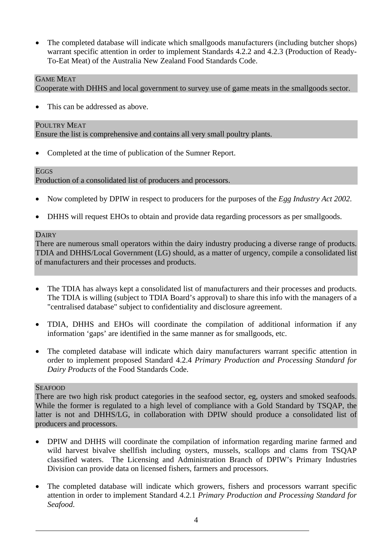• The completed database will indicate which smallgoods manufacturers (including butcher shops) warrant specific attention in order to implement Standards 4.2.2 and 4.2.3 (Production of Ready-To-Eat Meat) of the Australia New Zealand Food Standards Code.

## GAME MEAT

Cooperate with DHHS and local government to survey use of game meats in the smallgoods sector.

This can be addressed as above.

#### POULTRY MEAT

Ensure the list is comprehensive and contains all very small poultry plants.

• Completed at the time of publication of the Sumner Report.

#### **EGGS**

Production of a consolidated list of producers and processors.

- Now completed by DPIW in respect to producers for the purposes of the *Egg Industry Act 2002*.
- DHHS will request EHOs to obtain and provide data regarding processors as per smallgoods.

#### **DAIRY**

There are numerous small operators within the dairy industry producing a diverse range of products. TDIA and DHHS/Local Government (LG) should, as a matter of urgency, compile a consolidated list of manufacturers and their processes and products.

- The TDIA has always kept a consolidated list of manufacturers and their processes and products. The TDIA is willing (subject to TDIA Board's approval) to share this info with the managers of a "centralised database" subject to confidentiality and disclosure agreement.
- TDIA, DHHS and EHOs will coordinate the compilation of additional information if any information 'gaps' are identified in the same manner as for smallgoods, etc.
- The completed database will indicate which dairy manufacturers warrant specific attention in order to implement proposed Standard 4.2.4 *Primary Production and Processing Standard for Dairy Products* of the Food Standards Code.

#### SEAFOOD

There are two high risk product categories in the seafood sector, eg, oysters and smoked seafoods. While the former is regulated to a high level of compliance with a Gold Standard by TSQAP, the latter is not and DHHS/LG, in collaboration with DPIW should produce a consolidated list of producers and processors.

- DPIW and DHHS will coordinate the compilation of information regarding marine farmed and wild harvest bivalve shellfish including oysters, mussels, scallops and clams from TSQAP classified waters. The Licensing and Administration Branch of DPIW's Primary Industries Division can provide data on licensed fishers, farmers and processors.
- The completed database will indicate which growers, fishers and processors warrant specific attention in order to implement Standard 4.2.1 *Primary Production and Processing Standard for Seafood*.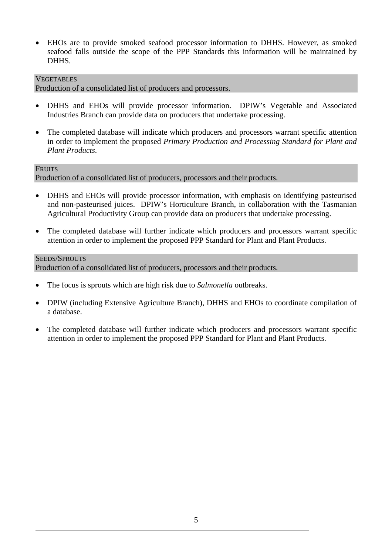• EHOs are to provide smoked seafood processor information to DHHS. However, as smoked seafood falls outside the scope of the PPP Standards this information will be maintained by DHHS.

### VEGETABLES

Production of a consolidated list of producers and processors.

- DHHS and EHOs will provide processor information. DPIW's Vegetable and Associated Industries Branch can provide data on producers that undertake processing.
- The completed database will indicate which producers and processors warrant specific attention in order to implement the proposed *Primary Production and Processing Standard for Plant and Plant Products*.

#### **FRUITS**

Production of a consolidated list of producers, processors and their products.

- DHHS and EHOs will provide processor information, with emphasis on identifying pasteurised and non-pasteurised juices. DPIW's Horticulture Branch, in collaboration with the Tasmanian Agricultural Productivity Group can provide data on producers that undertake processing.
- The completed database will further indicate which producers and processors warrant specific attention in order to implement the proposed PPP Standard for Plant and Plant Products.

### SEEDS/SPROUTS

Production of a consolidated list of producers, processors and their products.

- The focus is sprouts which are high risk due to *Salmonella* outbreaks.
- DPIW (including Extensive Agriculture Branch), DHHS and EHOs to coordinate compilation of a database.
- The completed database will further indicate which producers and processors warrant specific attention in order to implement the proposed PPP Standard for Plant and Plant Products.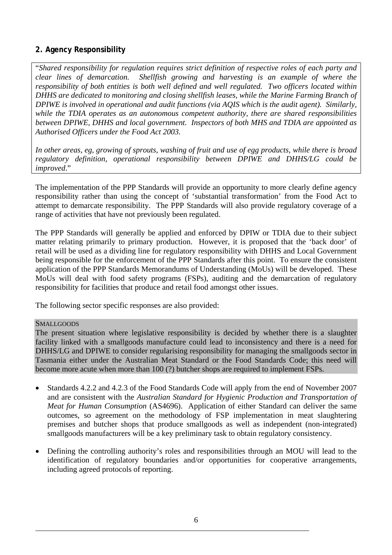## **2. Agency Responsibility**

"*Shared responsibility for regulation requires strict definition of respective roles of each party and clear lines of demarcation. Shellfish growing and harvesting is an example of where the responsibility of both entities is both well defined and well regulated. Two officers located within DHHS are dedicated to monitoring and closing shellfish leases, while the Marine Farming Branch of DPIWE is involved in operational and audit functions (via AQIS which is the audit agent). Similarly, while the TDIA operates as an autonomous competent authority, there are shared responsibilities between DPIWE, DHHS and local government. Inspectors of both MHS and TDIA are appointed as Authorised Officers under the Food Act 2003.*

*In other areas, eg, growing of sprouts, washing of fruit and use of egg products, while there is broad regulatory definition, operational responsibility between DPIWE and DHHS/LG could be improved*."

The implementation of the PPP Standards will provide an opportunity to more clearly define agency responsibility rather than using the concept of 'substantial transformation' from the Food Act to attempt to demarcate responsibility. The PPP Standards will also provide regulatory coverage of a range of activities that have not previously been regulated.

The PPP Standards will generally be applied and enforced by DPIW or TDIA due to their subject matter relating primarily to primary production. However, it is proposed that the 'back door' of retail will be used as a dividing line for regulatory responsibility with DHHS and Local Government being responsible for the enforcement of the PPP Standards after this point. To ensure the consistent application of the PPP Standards Memorandums of Understanding (MoUs) will be developed. These MoUs will deal with food safety programs (FSPs), auditing and the demarcation of regulatory responsibility for facilities that produce and retail food amongst other issues.

The following sector specific responses are also provided:

#### SMALLGOODS

The present situation where legislative responsibility is decided by whether there is a slaughter facility linked with a smallgoods manufacture could lead to inconsistency and there is a need for DHHS/LG and DPIWE to consider regularising responsibility for managing the smallgoods sector in Tasmania either under the Australian Meat Standard or the Food Standards Code; this need will become more acute when more than 100 (?) butcher shops are required to implement FSPs.

- Standards 4.2.2 and 4.2.3 of the Food Standards Code will apply from the end of November 2007 and are consistent with the *Australian Standard for Hygienic Production and Transportation of Meat for Human Consumption* (AS4696). Application of either Standard can deliver the same outcomes, so agreement on the methodology of FSP implementation in meat slaughtering premises and butcher shops that produce smallgoods as well as independent (non-integrated) smallgoods manufacturers will be a key preliminary task to obtain regulatory consistency.
- Defining the controlling authority's roles and responsibilities through an MOU will lead to the identification of regulatory boundaries and/or opportunities for cooperative arrangements, including agreed protocols of reporting.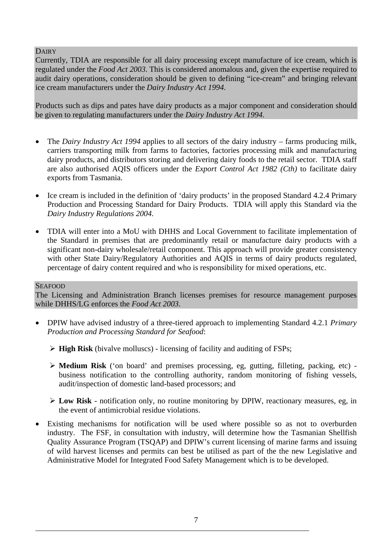**DAIRY** 

Currently, TDIA are responsible for all dairy processing except manufacture of ice cream, which is regulated under the *Food Act 2003*. This is considered anomalous and, given the expertise required to audit dairy operations, consideration should be given to defining "ice-cream" and bringing relevant ice cream manufacturers under the *Dairy Industry Act 1994*.

Products such as dips and pates have dairy products as a major component and consideration should be given to regulating manufacturers under the *Dairy Industry Act 1994*.

- The *Dairy Industry Act 1994* applies to all sectors of the dairy industry farms producing milk, carriers transporting milk from farms to factories, factories processing milk and manufacturing dairy products, and distributors storing and delivering dairy foods to the retail sector. TDIA staff are also authorised AQIS officers under the *Export Control Act 1982 (Cth)* to facilitate dairy exports from Tasmania.
- Ice cream is included in the definition of 'dairy products' in the proposed Standard 4.2.4 Primary Production and Processing Standard for Dairy Products. TDIA will apply this Standard via the *Dairy Industry Regulations 2004*.
- TDIA will enter into a MoU with DHHS and Local Government to facilitate implementation of the Standard in premises that are predominantly retail or manufacture dairy products with a significant non-dairy wholesale/retail component. This approach will provide greater consistency with other State Dairy/Regulatory Authorities and AOIS in terms of dairy products regulated, percentage of dairy content required and who is responsibility for mixed operations, etc.

#### **SEAFOOD**

The Licensing and Administration Branch licenses premises for resource management purposes while DHHS/LG enforces the *Food Act 2003*.

- DPIW have advised industry of a three-tiered approach to implementing Standard 4.2.1 *Primary Production and Processing Standard for Seafood*:
	- ¾ **High Risk** (bivalve molluscs) licensing of facility and auditing of FSPs;
	- ¾ **Medium Risk** ('on board' and premises processing, eg, gutting, filleting, packing, etc) business notification to the controlling authority, random monitoring of fishing vessels, audit/inspection of domestic land-based processors; and
	- ¾ **Low Risk** notification only, no routine monitoring by DPIW, reactionary measures, eg, in the event of antimicrobial residue violations.
- Existing mechanisms for notification will be used where possible so as not to overburden industry. The FSF, in consultation with industry, will determine how the Tasmanian Shellfish Quality Assurance Program (TSQAP) and DPIW's current licensing of marine farms and issuing of wild harvest licenses and permits can best be utilised as part of the the new Legislative and Administrative Model for Integrated Food Safety Management which is to be developed.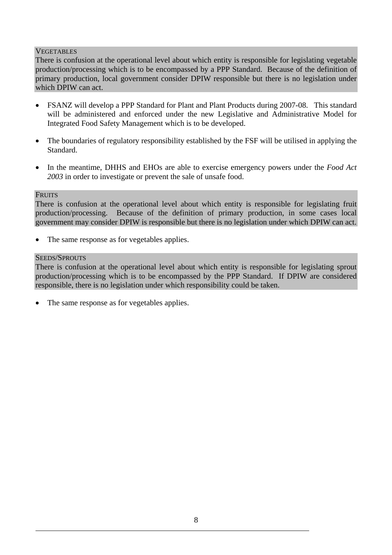## **VEGETABLES**

There is confusion at the operational level about which entity is responsible for legislating vegetable production/processing which is to be encompassed by a PPP Standard. Because of the definition of primary production, local government consider DPIW responsible but there is no legislation under which DPIW can act.

- FSANZ will develop a PPP Standard for Plant and Plant Products during 2007-08. This standard will be administered and enforced under the new Legislative and Administrative Model for Integrated Food Safety Management which is to be developed.
- The boundaries of regulatory responsibility established by the FSF will be utilised in applying the Standard.
- In the meantime, DHHS and EHOs are able to exercise emergency powers under the *Food Act 2003* in order to investigate or prevent the sale of unsafe food.

#### **FRUITS**

There is confusion at the operational level about which entity is responsible for legislating fruit production/processing. Because of the definition of primary production, in some cases local government may consider DPIW is responsible but there is no legislation under which DPIW can act.

The same response as for vegetables applies.

#### SEEDS/SPROUTS

There is confusion at the operational level about which entity is responsible for legislating sprout production/processing which is to be encompassed by the PPP Standard. If DPIW are considered responsible, there is no legislation under which responsibility could be taken.

The same response as for vegetables applies.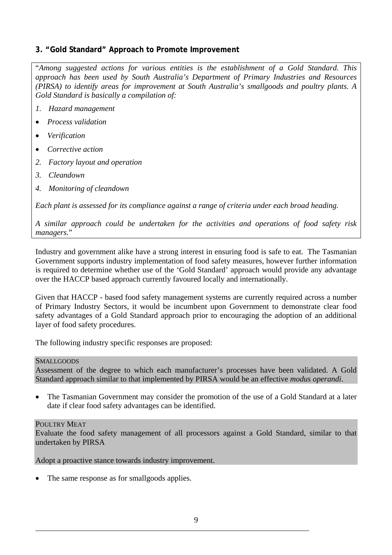## **3. "Gold Standard" Approach to Promote Improvement**

"*Among suggested actions for various entities is the establishment of a Gold Standard. This approach has been used by South Australia's Department of Primary Industries and Resources (PIRSA) to identify areas for improvement at South Australia's smallgoods and poultry plants. A Gold Standard is basically a compilation of:*

- *1. Hazard management*
- *Process validation*
- *Verification*
- *Corrective action*
- *2. Factory layout and operation*
- *3. Cleandown*
- *4. Monitoring of cleandown*

*Each plant is assessed for its compliance against a range of criteria under each broad heading.*

*A similar approach could be undertaken for the activities and operations of food safety risk managers.*"

Industry and government alike have a strong interest in ensuring food is safe to eat. The Tasmanian Government supports industry implementation of food safety measures, however further information is required to determine whether use of the 'Gold Standard' approach would provide any advantage over the HACCP based approach currently favoured locally and internationally.

Given that HACCP - based food safety management systems are currently required across a number of Primary Industry Sectors, it would be incumbent upon Government to demonstrate clear food safety advantages of a Gold Standard approach prior to encouraging the adoption of an additional layer of food safety procedures.

The following industry specific responses are proposed:

#### SMALLGOODS

Assessment of the degree to which each manufacturer's processes have been validated. A Gold Standard approach similar to that implemented by PIRSA would be an effective *modus operandi*.

• The Tasmanian Government may consider the promotion of the use of a Gold Standard at a later date if clear food safety advantages can be identified.

#### POULTRY MEAT

Evaluate the food safety management of all processors against a Gold Standard, similar to that undertaken by PIRSA

Adopt a proactive stance towards industry improvement.

The same response as for smallgoods applies.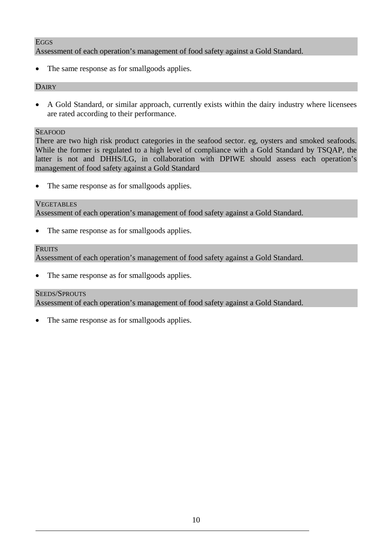## **EGGS**

Assessment of each operation's management of food safety against a Gold Standard.

The same response as for smallgoods applies.

#### **DAIRY**

• A Gold Standard, or similar approach, currently exists within the dairy industry where licensees are rated according to their performance.

#### **SEAFOOD**

There are two high risk product categories in the seafood sector. eg, oysters and smoked seafoods. While the former is regulated to a high level of compliance with a Gold Standard by TSQAP, the latter is not and DHHS/LG, in collaboration with DPIWE should assess each operation's management of food safety against a Gold Standard

• The same response as for smallgoods applies.

#### VEGETABLES

Assessment of each operation's management of food safety against a Gold Standard.

• The same response as for smallgoods applies.

#### **FRUITS**

Assessment of each operation's management of food safety against a Gold Standard.

• The same response as for smallgoods applies.

#### SEEDS/SPROUTS

Assessment of each operation's management of food safety against a Gold Standard.

The same response as for smallgoods applies.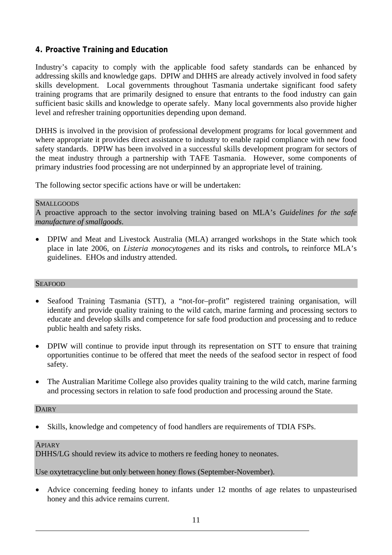## **4. Proactive Training and Education**

Industry's capacity to comply with the applicable food safety standards can be enhanced by addressing skills and knowledge gaps. DPIW and DHHS are already actively involved in food safety skills development. Local governments throughout Tasmania undertake significant food safety training programs that are primarily designed to ensure that entrants to the food industry can gain sufficient basic skills and knowledge to operate safely. Many local governments also provide higher level and refresher training opportunities depending upon demand.

DHHS is involved in the provision of professional development programs for local government and where appropriate it provides direct assistance to industry to enable rapid compliance with new food safety standards. DPIW has been involved in a successful skills development program for sectors of the meat industry through a partnership with TAFE Tasmania. However, some components of primary industries food processing are not underpinned by an appropriate level of training.

The following sector specific actions have or will be undertaken:

#### **SMALLGOODS**

A proactive approach to the sector involving training based on MLA's *Guidelines for the safe manufacture of smallgoods*.

• DPIW and Meat and Livestock Australia (MLA) arranged workshops in the State which took place in late 2006, on *Listeria monocytogenes* and its risks and controls**,** to reinforce MLA's guidelines. EHOs and industry attended.

#### SEAFOOD

- Seafood Training Tasmania (STT), a "not-for–profit" registered training organisation, will identify and provide quality training to the wild catch, marine farming and processing sectors to educate and develop skills and competence for safe food production and processing and to reduce public health and safety risks.
- DPIW will continue to provide input through its representation on STT to ensure that training opportunities continue to be offered that meet the needs of the seafood sector in respect of food safety.
- The Australian Maritime College also provides quality training to the wild catch, marine farming and processing sectors in relation to safe food production and processing around the State.

#### **DAIRY**

• Skills, knowledge and competency of food handlers are requirements of TDIA FSPs.

#### APIARY

DHHS/LG should review its advice to mothers re feeding honey to neonates.

Use oxytetracycline but only between honey flows (September-November).

• Advice concerning feeding honey to infants under 12 months of age relates to unpasteurised honey and this advice remains current.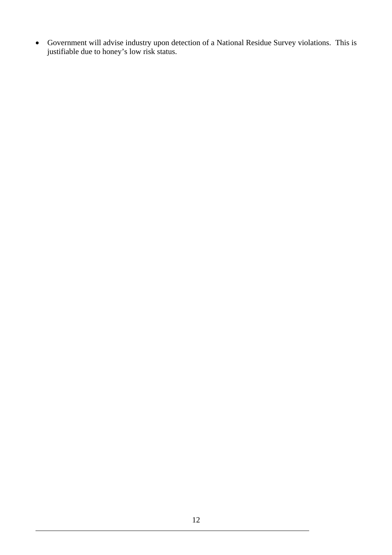• Government will advise industry upon detection of a National Residue Survey violations. This is justifiable due to honey's low risk status.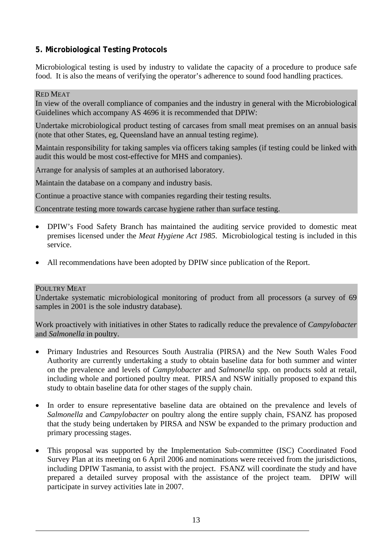## **5. Microbiological Testing Protocols**

Microbiological testing is used by industry to validate the capacity of a procedure to produce safe food. It is also the means of verifying the operator's adherence to sound food handling practices.

#### RED MEAT

In view of the overall compliance of companies and the industry in general with the Microbiological Guidelines which accompany AS 4696 it is recommended that DPIW:

Undertake microbiological product testing of carcases from small meat premises on an annual basis (note that other States, eg, Queensland have an annual testing regime).

Maintain responsibility for taking samples via officers taking samples (if testing could be linked with audit this would be most cost-effective for MHS and companies).

Arrange for analysis of samples at an authorised laboratory.

Maintain the database on a company and industry basis.

Continue a proactive stance with companies regarding their testing results.

Concentrate testing more towards carcase hygiene rather than surface testing.

- DPIW's Food Safety Branch has maintained the auditing service provided to domestic meat premises licensed under the *Meat Hygiene Act 1985*. Microbiological testing is included in this service.
- All recommendations have been adopted by DPIW since publication of the Report.

#### POULTRY MEAT

Undertake systematic microbiological monitoring of product from all processors (a survey of 69 samples in 2001 is the sole industry database).

Work proactively with initiatives in other States to radically reduce the prevalence of *Campylobacter* and *Salmonella* in poultry.

- Primary Industries and Resources South Australia (PIRSA) and the New South Wales Food Authority are currently undertaking a study to obtain baseline data for both summer and winter on the prevalence and levels of *Campylobacter* and *Salmonella* spp. on products sold at retail, including whole and portioned poultry meat. PIRSA and NSW initially proposed to expand this study to obtain baseline data for other stages of the supply chain.
- In order to ensure representative baseline data are obtained on the prevalence and levels of *Salmonella* and *Campylobacter* on poultry along the entire supply chain, FSANZ has proposed that the study being undertaken by PIRSA and NSW be expanded to the primary production and primary processing stages.
- This proposal was supported by the Implementation Sub-committee (ISC) Coordinated Food Survey Plan at its meeting on 6 April 2006 and nominations were received from the jurisdictions, including DPIW Tasmania, to assist with the project. FSANZ will coordinate the study and have prepared a detailed survey proposal with the assistance of the project team. DPIW will participate in survey activities late in 2007.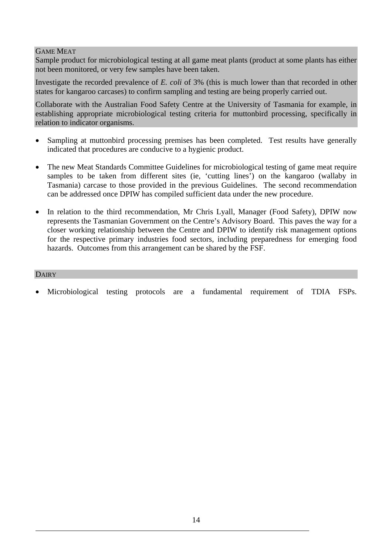## GAME MEAT

Sample product for microbiological testing at all game meat plants (product at some plants has either not been monitored, or very few samples have been taken.

Investigate the recorded prevalence of *E. coli* of 3% (this is much lower than that recorded in other states for kangaroo carcases) to confirm sampling and testing are being properly carried out.

Collaborate with the Australian Food Safety Centre at the University of Tasmania for example, in establishing appropriate microbiological testing criteria for muttonbird processing, specifically in relation to indicator organisms.

- Sampling at muttonbird processing premises has been completed. Test results have generally indicated that procedures are conducive to a hygienic product.
- The new Meat Standards Committee Guidelines for microbiological testing of game meat require samples to be taken from different sites (ie, 'cutting lines') on the kangaroo (wallaby in Tasmania) carcase to those provided in the previous Guidelines. The second recommendation can be addressed once DPIW has compiled sufficient data under the new procedure.
- In relation to the third recommendation, Mr Chris Lyall, Manager (Food Safety), DPIW now represents the Tasmanian Government on the Centre's Advisory Board. This paves the way for a closer working relationship between the Centre and DPIW to identify risk management options for the respective primary industries food sectors, including preparedness for emerging food hazards. Outcomes from this arrangement can be shared by the FSF.

#### DAIRY

Microbiological testing protocols are a fundamental requirement of TDIA FSPs.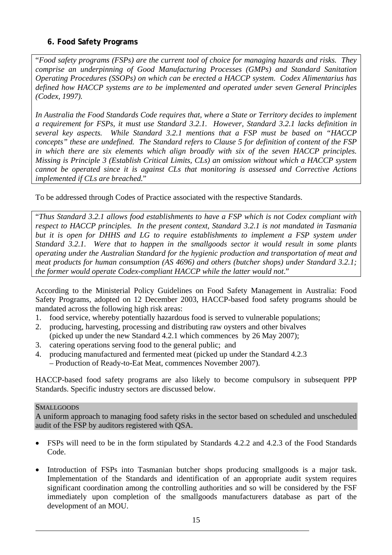## **6. Food Safety Programs**

"*Food safety programs (FSPs) are the current tool of choice for managing hazards and risks. They comprise an underpinning of Good Manufacturing Processes (GMPs) and Standard Sanitation Operating Procedures (SSOPs) on which can be erected a HACCP system. Codex Alimentarius has defined how HACCP systems are to be implemented and operated under seven General Principles (Codex, 1997).*

*In Australia the Food Standards Code requires that, where a State or Territory decides to implement a requirement for FSPs, it must use Standard 3.2.1. However, Standard 3.2.1 lacks definition in several key aspects. While Standard 3.2.1 mentions that a FSP must be based on "HACCP concepts" these are undefined. The Standard refers to Clause 5 for definition of content of the FSP in which there are six elements which align broadly with six of the seven HACCP principles. Missing is Principle 3 (Establish Critical Limits, CLs) an omission without which a HACCP system cannot be operated since it is against CLs that monitoring is assessed and Corrective Actions implemented if CLs are breached.*"

To be addressed through Codes of Practice associated with the respective Standards.

"*Thus Standard 3.2.1 allows food establishments to have a FSP which is not Codex compliant with respect to HACCP principles. In the present context, Standard 3.2.1 is not mandated in Tasmania but it is open for DHHS and LG to require establishments to implement a FSP system under Standard 3.2.1. Were that to happen in the smallgoods sector it would result in some plants operating under the Australian Standard for the hygienic production and transportation of meat and meat products for human consumption (AS 4696) and others (butcher shops) under Standard 3.2.1; the former would operate Codex-compliant HACCP while the latter would not*."

According to the Ministerial Policy Guidelines on Food Safety Management in Australia: Food Safety Programs, adopted on 12 December 2003, HACCP-based food safety programs should be mandated across the following high risk areas:

- 1. food service, whereby potentially hazardous food is served to vulnerable populations;
- 2. producing, harvesting, processing and distributing raw oysters and other bivalves (picked up under the new Standard 4.2.1 which commences by 26 May 2007);
- 3. catering operations serving food to the general public; and
- 4. producing manufactured and fermented meat (picked up under the Standard 4.2.3 – Production of Ready-to-Eat Meat, commences November 2007).

HACCP-based food safety programs are also likely to become compulsory in subsequent PPP Standards. Specific industry sectors are discussed below.

## **SMALLGOODS**

A uniform approach to managing food safety risks in the sector based on scheduled and unscheduled audit of the FSP by auditors registered with QSA.

- FSPs will need to be in the form stipulated by Standards 4.2.2 and 4.2.3 of the Food Standards Code.
- Introduction of FSPs into Tasmanian butcher shops producing smallgoods is a major task. Implementation of the Standards and identification of an appropriate audit system requires significant coordination among the controlling authorities and so will be considered by the FSF immediately upon completion of the smallgoods manufacturers database as part of the development of an MOU.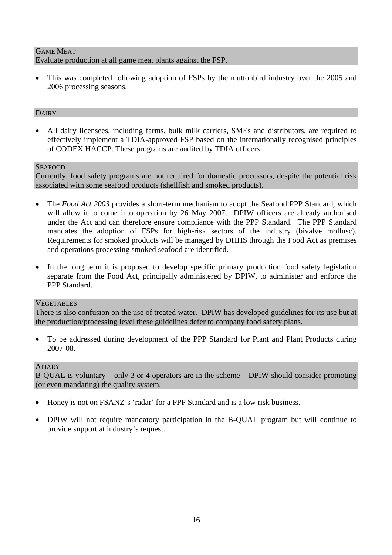## GAME MEAT Evaluate production at all game meat plants against the FSP.

• This was completed following adoption of FSPs by the muttonbird industry over the 2005 and 2006 processing seasons.

## DAIRY

• All dairy licensees, including farms, bulk milk carriers, SMEs and distributors, are required to effectively implement a TDIA-approved FSP based on the internationally recognised principles of CODEX HACCP. These programs are audited by TDIA officers,

#### **SEAFOOD**

Currently, food safety programs are not required for domestic processors, despite the potential risk associated with some seafood products (shellfish and smoked products).

- The *Food Act 2003* provides a short-term mechanism to adopt the Seafood PPP Standard, which will allow it to come into operation by 26 May 2007. DPIW officers are already authorised under the Act and can therefore ensure compliance with the PPP Standard. The PPP Standard mandates the adoption of FSPs for high-risk sectors of the industry (bivalve mollusc). Requirements for smoked products will be managed by DHHS through the Food Act as premises and operations processing smoked seafood are identified.
- In the long term it is proposed to develop specific primary production food safety legislation separate from the Food Act, principally administered by DPIW, to administer and enforce the PPP Standard.

#### **VEGETABLES**

There is also confusion on the use of treated water. DPIW has developed guidelines for its use but at the production/processing level these guidelines defer to company food safety plans.

• To be addressed during development of the PPP Standard for Plant and Plant Products during 2007-08.

#### APIARY

B-QUAL is voluntary – only 3 or 4 operators are in the scheme – DPIW should consider promoting (or even mandating) the quality system.

- Honey is not on FSANZ's 'radar' for a PPP Standard and is a low risk business.
- DPIW will not require mandatory participation in the B-QUAL program but will continue to provide support at industry's request.